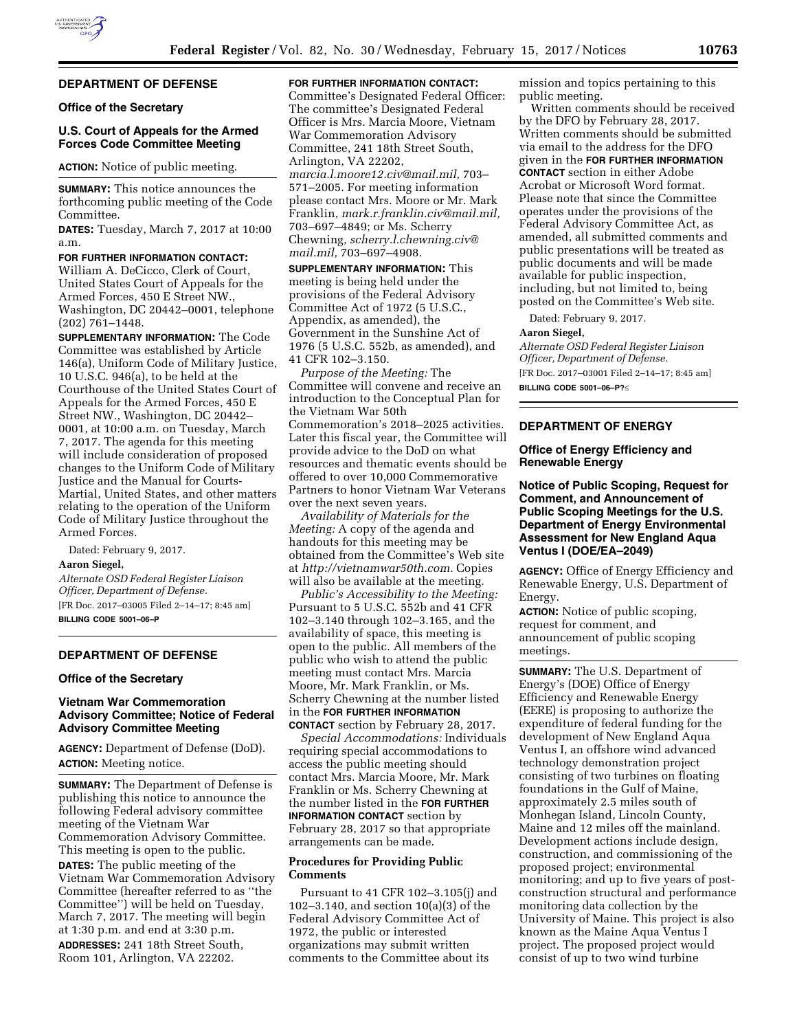

# **DEPARTMENT OF DEFENSE**

# **Office of the Secretary**

# **U.S. Court of Appeals for the Armed Forces Code Committee Meeting**

**ACTION:** Notice of public meeting.

**SUMMARY:** This notice announces the forthcoming public meeting of the Code Committee.

**DATES:** Tuesday, March 7, 2017 at 10:00 a.m.

**FOR FURTHER INFORMATION CONTACT:**  William A. DeCicco, Clerk of Court, United States Court of Appeals for the Armed Forces, 450 E Street NW., Washington, DC 20442–0001, telephone (202) 761–1448.

**SUPPLEMENTARY INFORMATION:** The Code Committee was established by Article 146(a), Uniform Code of Military Justice, 10 U.S.C. 946(a), to be held at the Courthouse of the United States Court of Appeals for the Armed Forces, 450 E Street NW., Washington, DC 20442– 0001, at 10:00 a.m. on Tuesday, March 7, 2017. The agenda for this meeting will include consideration of proposed changes to the Uniform Code of Military Justice and the Manual for Courts-Martial, United States, and other matters relating to the operation of the Uniform Code of Military Justice throughout the Armed Forces.

Dated: February 9, 2017.

#### **Aaron Siegel,**

*Alternate OSD Federal Register Liaison Officer, Department of Defense.*  [FR Doc. 2017–03005 Filed 2–14–17; 8:45 am] **BILLING CODE 5001–06–P** 

#### **DEPARTMENT OF DEFENSE**

### **Office of the Secretary**

# **Vietnam War Commemoration Advisory Committee; Notice of Federal Advisory Committee Meeting**

**AGENCY:** Department of Defense (DoD). **ACTION:** Meeting notice.

**SUMMARY:** The Department of Defense is publishing this notice to announce the following Federal advisory committee meeting of the Vietnam War Commemoration Advisory Committee. This meeting is open to the public. **DATES:** The public meeting of the Vietnam War Commemoration Advisory Committee (hereafter referred to as ''the Committee'') will be held on Tuesday, March 7, 2017. The meeting will begin at 1:30 p.m. and end at 3:30 p.m. **ADDRESSES:** 241 18th Street South, Room 101, Arlington, VA 22202.

# **FOR FURTHER INFORMATION CONTACT:**

Committee's Designated Federal Officer: The committee's Designated Federal Officer is Mrs. Marcia Moore, Vietnam War Commemoration Advisory Committee, 241 18th Street South, Arlington, VA 22202, *[marcia.l.moore12.civ@mail.mil,](mailto:marcia.l.moore12.civ@mail.mil)* 703– 571–2005. For meeting information please contact Mrs. Moore or Mr. Mark Franklin, *[mark.r.franklin.civ@mail.mil,](mailto:mark.r.franklin.civ@mail.mil)*  703–697–4849; or Ms. Scherry Chewning, *[scherry.l.chewning.civ@](mailto:scherry.l.chewning.civ@mail.mil) [mail.mil,](mailto:scherry.l.chewning.civ@mail.mil)* 703–697–4908.

**SUPPLEMENTARY INFORMATION:** This meeting is being held under the provisions of the Federal Advisory Committee Act of 1972 (5 U.S.C., Appendix, as amended), the Government in the Sunshine Act of 1976 (5 U.S.C. 552b, as amended), and 41 CFR 102–3.150.

*Purpose of the Meeting:* The Committee will convene and receive an introduction to the Conceptual Plan for the Vietnam War 50th Commemoration's 2018–2025 activities. Later this fiscal year, the Committee will provide advice to the DoD on what resources and thematic events should be offered to over 10,000 Commemorative Partners to honor Vietnam War Veterans over the next seven years.

*Availability of Materials for the Meeting:* A copy of the agenda and handouts for this meeting may be obtained from the Committee's Web site at *[http://vietnamwar50th.com.](http://vietnamwar50th.com)* Copies will also be available at the meeting.

*Public's Accessibility to the Meeting:*  Pursuant to 5 U.S.C. 552b and 41 CFR 102–3.140 through 102–3.165, and the availability of space, this meeting is open to the public. All members of the public who wish to attend the public meeting must contact Mrs. Marcia Moore, Mr. Mark Franklin, or Ms. Scherry Chewning at the number listed in the **FOR FURTHER INFORMATION CONTACT** section by February 28, 2017.

*Special Accommodations:* Individuals requiring special accommodations to access the public meeting should contact Mrs. Marcia Moore, Mr. Mark Franklin or Ms. Scherry Chewning at the number listed in the **FOR FURTHER INFORMATION CONTACT** section by February 28, 2017 so that appropriate arrangements can be made.

## **Procedures for Providing Public Comments**

Pursuant to 41 CFR 102–3.105(j) and 102–3.140, and section 10(a)(3) of the Federal Advisory Committee Act of 1972, the public or interested organizations may submit written comments to the Committee about its

mission and topics pertaining to this public meeting.

Written comments should be received by the DFO by February 28, 2017. Written comments should be submitted via email to the address for the DFO given in the **FOR FURTHER INFORMATION CONTACT** section in either Adobe Acrobat or Microsoft Word format. Please note that since the Committee operates under the provisions of the Federal Advisory Committee Act, as amended, all submitted comments and public presentations will be treated as public documents and will be made available for public inspection, including, but not limited to, being posted on the Committee's Web site.

Dated: February 9, 2017.

#### **Aaron Siegel,**

*Alternate OSD Federal Register Liaison Officer, Department of Defense.*  [FR Doc. 2017–03001 Filed 2–14–17; 8:45 am] **BILLING CODE 5001–06–P?**≤

## **DEPARTMENT OF ENERGY**

# **Office of Energy Efficiency and Renewable Energy**

# **Notice of Public Scoping, Request for Comment, and Announcement of Public Scoping Meetings for the U.S. Department of Energy Environmental Assessment for New England Aqua Ventus I (DOE/EA–2049)**

**AGENCY:** Office of Energy Efficiency and Renewable Energy, U.S. Department of Energy.

**ACTION:** Notice of public scoping, request for comment, and announcement of public scoping meetings.

**SUMMARY:** The U.S. Department of Energy's (DOE) Office of Energy Efficiency and Renewable Energy (EERE) is proposing to authorize the expenditure of federal funding for the development of New England Aqua Ventus I, an offshore wind advanced technology demonstration project consisting of two turbines on floating foundations in the Gulf of Maine, approximately 2.5 miles south of Monhegan Island, Lincoln County, Maine and 12 miles off the mainland. Development actions include design, construction, and commissioning of the proposed project; environmental monitoring; and up to five years of postconstruction structural and performance monitoring data collection by the University of Maine. This project is also known as the Maine Aqua Ventus I project. The proposed project would consist of up to two wind turbine